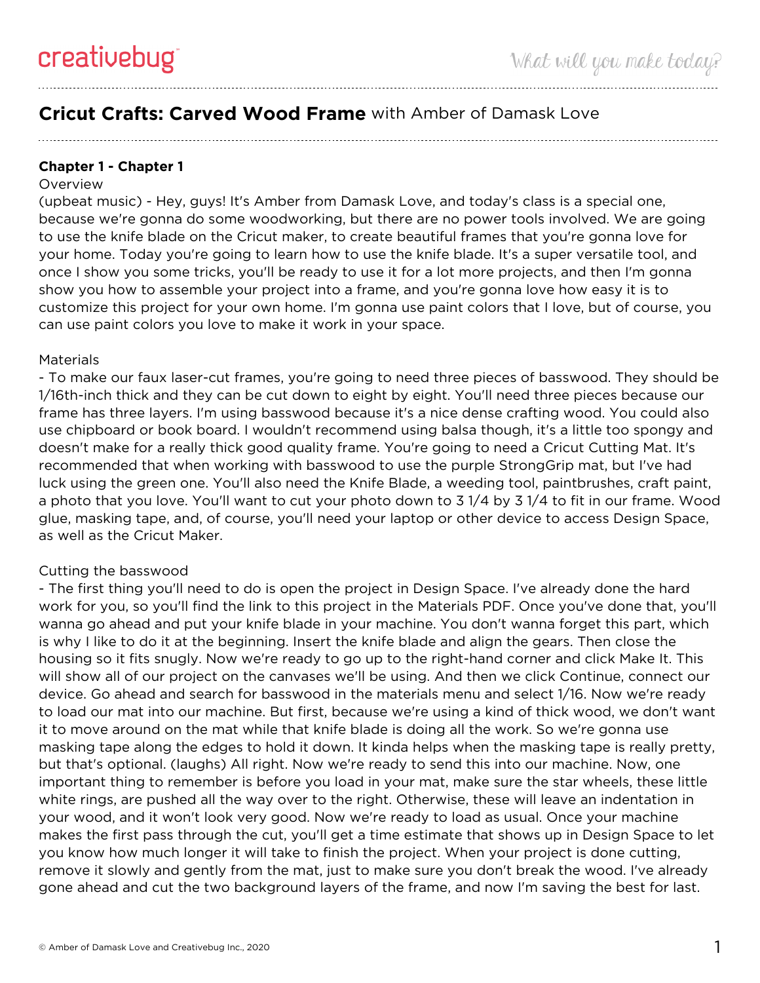# **Cricut Crafts: Carved Wood Frame** with Amber of Damask Love

## **Chapter 1 - Chapter 1**

#### **Overview**

(upbeat music) - Hey, guys! It's Amber from Damask Love, and today's class is a special one, because we're gonna do some woodworking, but there are no power tools involved. We are going to use the knife blade on the Cricut maker, to create beautiful frames that you're gonna love for your home. Today you're going to learn how to use the knife blade. It's a super versatile tool, and once I show you some tricks, you'll be ready to use it for a lot more projects, and then I'm gonna show you how to assemble your project into a frame, and you're gonna love how easy it is to customize this project for your own home. I'm gonna use paint colors that I love, but of course, you can use paint colors you love to make it work in your space.

### **Materials**

- To make our faux laser-cut frames, you're going to need three pieces of basswood. They should be 1/16th-inch thick and they can be cut down to eight by eight. You'll need three pieces because our frame has three layers. I'm using basswood because it's a nice dense crafting wood. You could also use chipboard or book board. I wouldn't recommend using balsa though, it's a little too spongy and doesn't make for a really thick good quality frame. You're going to need a Cricut Cutting Mat. It's recommended that when working with basswood to use the purple StrongGrip mat, but I've had luck using the green one. You'll also need the Knife Blade, a weeding tool, paintbrushes, craft paint, a photo that you love. You'll want to cut your photo down to 3 1/4 by 3 1/4 to fit in our frame. Wood glue, masking tape, and, of course, you'll need your laptop or other device to access Design Space, as well as the Cricut Maker.

## Cutting the basswood

- The first thing you'll need to do is open the project in Design Space. I've already done the hard work for you, so you'll find the link to this project in the Materials PDF. Once you've done that, you'll wanna go ahead and put your knife blade in your machine. You don't wanna forget this part, which is why I like to do it at the beginning. Insert the knife blade and align the gears. Then close the housing so it fits snugly. Now we're ready to go up to the right-hand corner and click Make It. This will show all of our project on the canvases we'll be using. And then we click Continue, connect our device. Go ahead and search for basswood in the materials menu and select 1/16. Now we're ready to load our mat into our machine. But first, because we're using a kind of thick wood, we don't want it to move around on the mat while that knife blade is doing all the work. So we're gonna use masking tape along the edges to hold it down. It kinda helps when the masking tape is really pretty, but that's optional. (laughs) All right. Now we're ready to send this into our machine. Now, one important thing to remember is before you load in your mat, make sure the star wheels, these little white rings, are pushed all the way over to the right. Otherwise, these will leave an indentation in your wood, and it won't look very good. Now we're ready to load as usual. Once your machine makes the first pass through the cut, you'll get a time estimate that shows up in Design Space to let you know how much longer it will take to finish the project. When your project is done cutting, remove it slowly and gently from the mat, just to make sure you don't break the wood. I've already gone ahead and cut the two background layers of the frame, and now I'm saving the best for last.